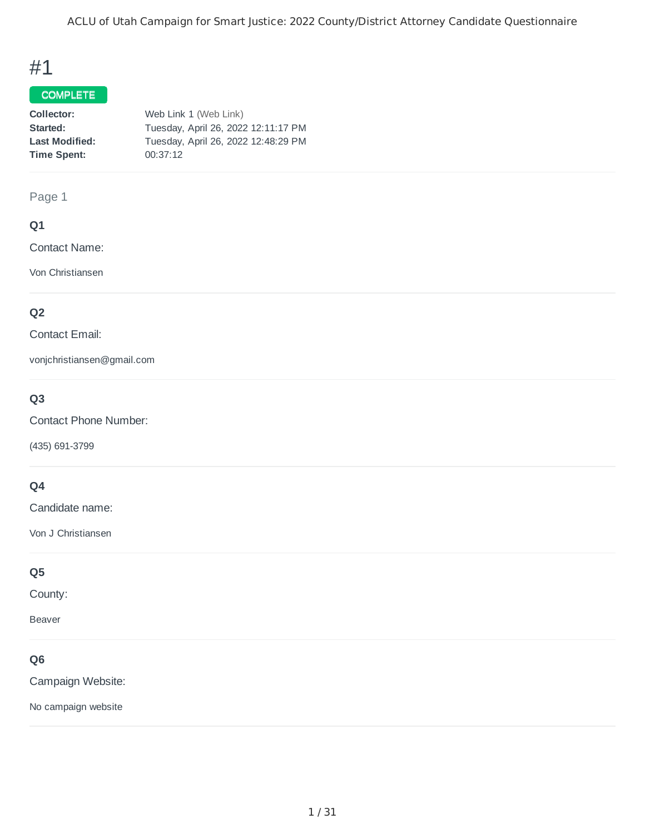## #1

#### COMPLETE

| Collector:            | Web Link 1 (Web Link)               |
|-----------------------|-------------------------------------|
| Started:              | Tuesday, April 26, 2022 12:11:17 PM |
| <b>Last Modified:</b> | Tuesday, April 26, 2022 12:48:29 PM |
| Time Spent:           | 00:37:12                            |
|                       |                                     |

#### Page 1

#### **Q1**

Contact Name:

Von Christiansen

### **Q2**

#### Contact Email:

vonjchristiansen@gmail.com

### **Q3**

Contact Phone Number:

(435) 691-3799

### **Q4**

Candidate name:

Von J Christiansen

### **Q5**

County:

Beaver

### **Q6**

Campaign Website:

No campaign website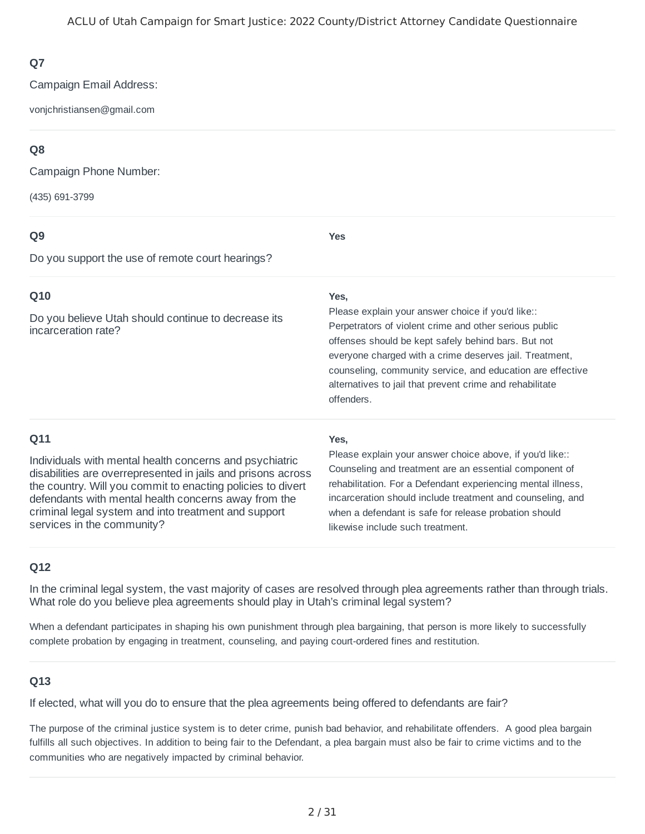Campaign Email Address:

vonjchristiansen@gmail.com

### **Q8**

Campaign Phone Number:

(435) 691-3799

#### **Q9**

**Yes**

Do you support the use of remote court hearings?

### **Q10**

Do you believe Utah should continue to decrease its incarceration rate?

#### **Yes,**

Perpetrators of violent crime and other serious public offenses should be kept safely behind bars. But not everyone charged with a crime deserves jail. Treatment, counseling, community service, and education are effective alternatives to jail that prevent crime and rehabilitate offenders. Please explain your answer choice if you'd like::

### **Q11**

Individuals with mental health concerns and psychiatric disabilities are overrepresented in jails and prisons across the country. Will you commit to enacting policies to divert defendants with mental health concerns away from the criminal legal system and into treatment and support services in the community?

#### **Yes,**

Counseling and treatment are an essential component of rehabilitation. For a Defendant experiencing mental illness, incarceration should include treatment and counseling, and when a defendant is safe for release probation should likewise include such treatment. Please explain your answer choice above, if you'd like::

### **Q12**

In the criminal legal system, the vast majority of cases are resolved through plea agreements rather than through trials. What role do you believe plea agreements should play in Utah's criminal legal system?

When a defendant participates in shaping his own punishment through plea bargaining, that person is more likely to successfully complete probation by engaging in treatment, counseling, and paying court-ordered fines and restitution.

#### **Q13**

If elected, what will you do to ensure that the plea agreements being offered to defendants are fair?

The purpose of the criminal justice system is to deter crime, punish bad behavior, and rehabilitate offenders. A good plea bargain fulfills all such objectives. In addition to being fair to the Defendant, a plea bargain must also be fair to crime victims and to the communities who are negatively impacted by criminal behavior.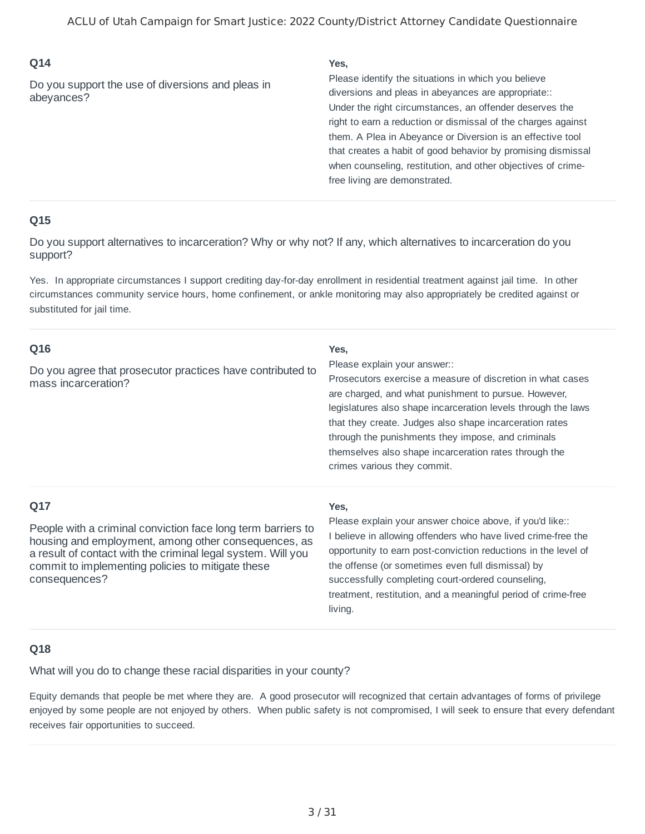Do you support the use of diversions and pleas in abeyances?

#### **Yes,**

Under the right circumstances, an offender deserves the right to earn a reduction or dismissal of the charges against them. A Plea in Abeyance or Diversion is an effective tool that creates a habit of good behavior by promising dismissal when counseling, restitution, and other objectives of crimefree living are demonstrated. Please identify the situations in which you believe diversions and pleas in abeyances are appropriate::

#### **Q15**

Do you support alternatives to incarceration? Why or why not? If any, which alternatives to incarceration do you support?

Yes. In appropriate circumstances I support crediting day-for-day enrollment in residential treatment against jail time. In other circumstances community service hours, home confinement, or ankle monitoring may also appropriately be credited against or substituted for jail time.

| Q16<br>Do you agree that prosecutor practices have contributed to<br>mass incarceration?                                                                                                                                                                          | Yes,<br>Please explain your answer::<br>Prosecutors exercise a measure of discretion in what cases<br>are charged, and what punishment to pursue. However,<br>legislatures also shape incarceration levels through the laws<br>that they create. Judges also shape incarceration rates<br>through the punishments they impose, and criminals<br>themselves also shape incarceration rates through the<br>crimes various they commit. |
|-------------------------------------------------------------------------------------------------------------------------------------------------------------------------------------------------------------------------------------------------------------------|--------------------------------------------------------------------------------------------------------------------------------------------------------------------------------------------------------------------------------------------------------------------------------------------------------------------------------------------------------------------------------------------------------------------------------------|
| Q17<br>People with a criminal conviction face long term barriers to<br>housing and employment, among other consequences, as<br>a result of contact with the criminal legal system. Will you<br>commit to implementing policies to mitigate these<br>consequences? | Yes,<br>Please explain your answer choice above, if you'd like::<br>I believe in allowing offenders who have lived crime-free the<br>opportunity to earn post-conviction reductions in the level of<br>the offense (or sometimes even full dismissal) by<br>successfully completing court-ordered counseling,<br>treatment, restitution, and a meaningful period of crime-free<br>living.                                            |

#### **Q18**

What will you do to change these racial disparities in your county?

Equity demands that people be met where they are. A good prosecutor will recognized that certain advantages of forms of privilege enjoyed by some people are not enjoyed by others. When public safety is not compromised, I will seek to ensure that every defendant receives fair opportunities to succeed.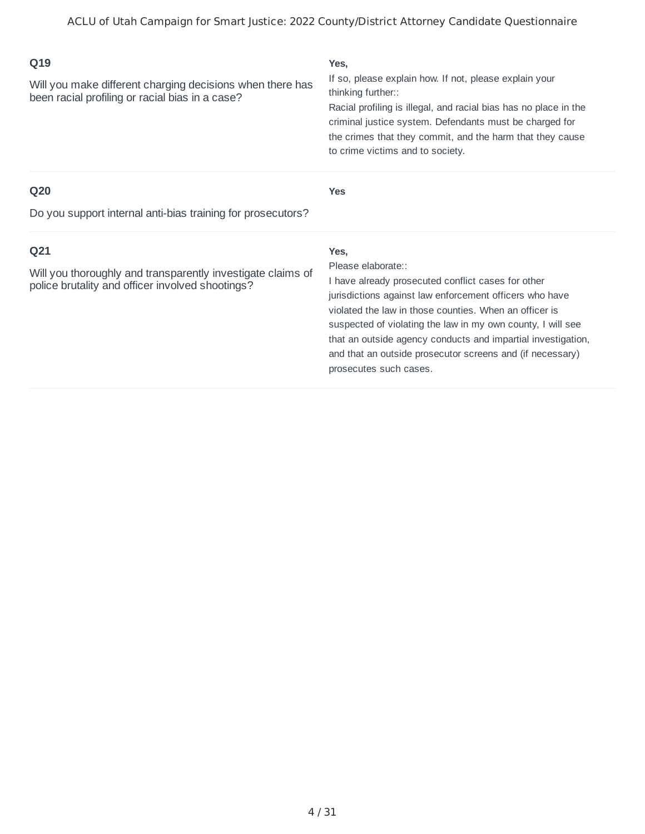| Q19<br>Will you make different charging decisions when there has<br>been racial profiling or racial bias in a case?                | Yes,<br>If so, please explain how. If not, please explain your<br>thinking further::<br>Racial profiling is illegal, and racial bias has no place in the<br>criminal justice system. Defendants must be charged for<br>the crimes that they commit, and the harm that they cause<br>to crime victims and to society.                                                                                                        |
|------------------------------------------------------------------------------------------------------------------------------------|-----------------------------------------------------------------------------------------------------------------------------------------------------------------------------------------------------------------------------------------------------------------------------------------------------------------------------------------------------------------------------------------------------------------------------|
| Q <sub>20</sub><br>Do you support internal anti-bias training for prosecutors?                                                     | <b>Yes</b>                                                                                                                                                                                                                                                                                                                                                                                                                  |
| Q <sub>21</sub><br>Will you thoroughly and transparently investigate claims of<br>police brutality and officer involved shootings? | Yes,<br>Please elaborate::<br>I have already prosecuted conflict cases for other<br>jurisdictions against law enforcement officers who have<br>violated the law in those counties. When an officer is<br>suspected of violating the law in my own county, I will see<br>that an outside agency conducts and impartial investigation,<br>and that an outside prosecutor screens and (if necessary)<br>prosecutes such cases. |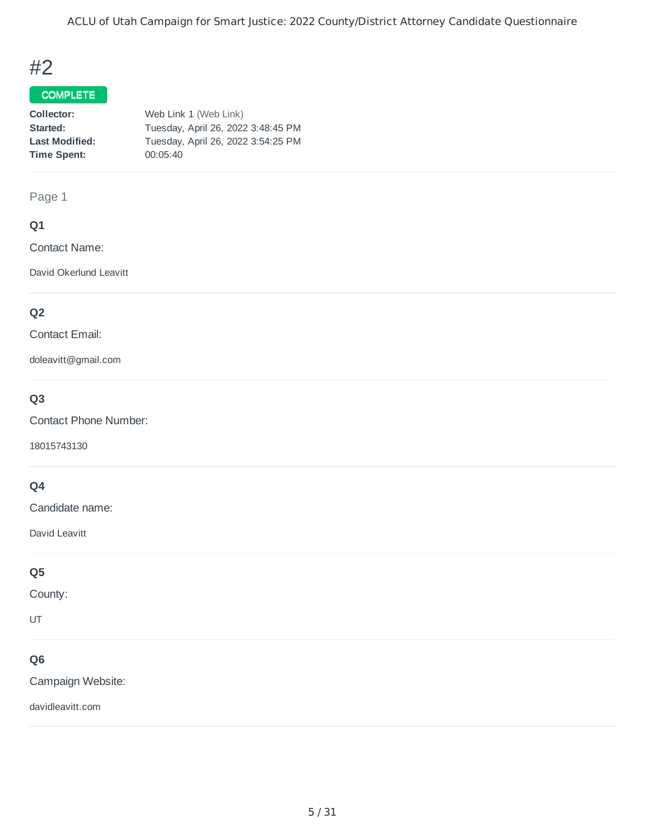ACLU of Utah Campaign for Smart Justice: 2022 County/District Attorney Candidate Questionnaire

## #2

#### COMPLETE

| Collector:            | Web Link 1 (Web Link)              |
|-----------------------|------------------------------------|
| Started:              | Tuesday, April 26, 2022 3:48:45 PM |
| <b>Last Modified:</b> | Tuesday, April 26, 2022 3:54:25 PM |
| <b>Time Spent:</b>    | 00:05:40                           |
|                       |                                    |

#### Page 1

#### **Q1**

Contact Name:

David Okerlund Leavitt

### **Q2**

Contact Email:

doleavitt@gmail.com

### **Q3**

Contact Phone Number:

18015743130

### **Q4**

Candidate name:

David Leavitt

#### **Q5**

County:

UT

### **Q6**

Campaign Website:

davidleavitt.com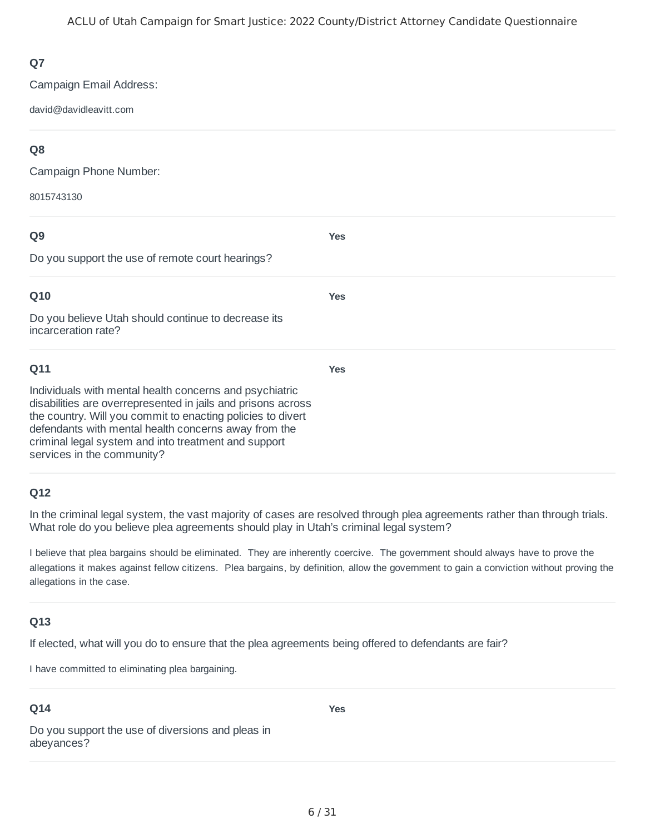Campaign Email Address:

david@davidleavitt.com

### **Q8**

Campaign Phone Number:

8015743130

## **Q9** Do you support the use of remote court hearings? **Yes Q10** Do you believe Utah should continue to decrease its incarceration rate? **Yes Q11** Individuals with mental health concerns and psychiatric disabilities are overrepresented in jails and prisons across **Yes**

the country. Will you commit to enacting policies to divert defendants with mental health concerns away from the criminal legal system and into treatment and support services in the community?

### **Q12**

In the criminal legal system, the vast majority of cases are resolved through plea agreements rather than through trials. What role do you believe plea agreements should play in Utah's criminal legal system?

I believe that plea bargains should be eliminated. They are inherently coercive. The government should always have to prove the allegations it makes against fellow citizens. Plea bargains, by definition, allow the government to gain a conviction without proving the allegations in the case.

### **Q13**

If elected, what will you do to ensure that the plea agreements being offered to defendants are fair?

I have committed to eliminating plea bargaining.

### **Q14**

**Yes**

Do you support the use of diversions and pleas in abeyances?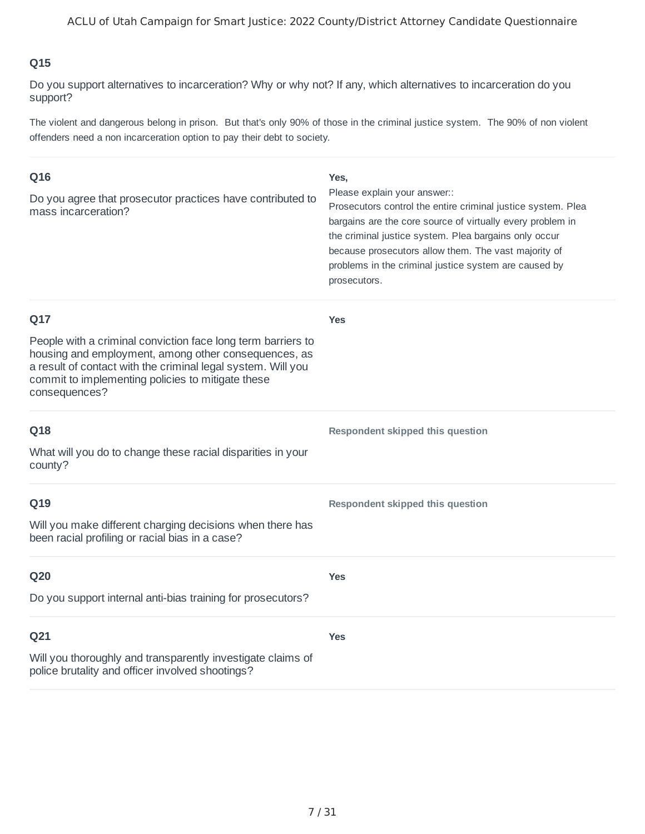Do you support alternatives to incarceration? Why or why not? If any, which alternatives to incarceration do you support?

The violent and dangerous belong in prison. But that's only 90% of those in the criminal justice system. The 90% of non violent offenders need a non incarceration option to pay their debt to society.

| Q16<br>Do you agree that prosecutor practices have contributed to<br>mass incarceration?                                                                                                                                                                          | Yes,<br>Please explain your answer::<br>Prosecutors control the entire criminal justice system. Plea<br>bargains are the core source of virtually every problem in<br>the criminal justice system. Plea bargains only occur<br>because prosecutors allow them. The vast majority of<br>problems in the criminal justice system are caused by<br>prosecutors. |
|-------------------------------------------------------------------------------------------------------------------------------------------------------------------------------------------------------------------------------------------------------------------|--------------------------------------------------------------------------------------------------------------------------------------------------------------------------------------------------------------------------------------------------------------------------------------------------------------------------------------------------------------|
| Q17<br>People with a criminal conviction face long term barriers to<br>housing and employment, among other consequences, as<br>a result of contact with the criminal legal system. Will you<br>commit to implementing policies to mitigate these<br>consequences? | <b>Yes</b>                                                                                                                                                                                                                                                                                                                                                   |
| Q18<br>What will you do to change these racial disparities in your<br>county?                                                                                                                                                                                     | Respondent skipped this question                                                                                                                                                                                                                                                                                                                             |
| Q19<br>Will you make different charging decisions when there has<br>been racial profiling or racial bias in a case?                                                                                                                                               | Respondent skipped this question                                                                                                                                                                                                                                                                                                                             |
| Q20<br>Do you support internal anti-bias training for prosecutors?                                                                                                                                                                                                | <b>Yes</b>                                                                                                                                                                                                                                                                                                                                                   |
| Q21<br>Will you thoroughly and transparently investigate claims of<br>police brutality and officer involved shootings?                                                                                                                                            | <b>Yes</b>                                                                                                                                                                                                                                                                                                                                                   |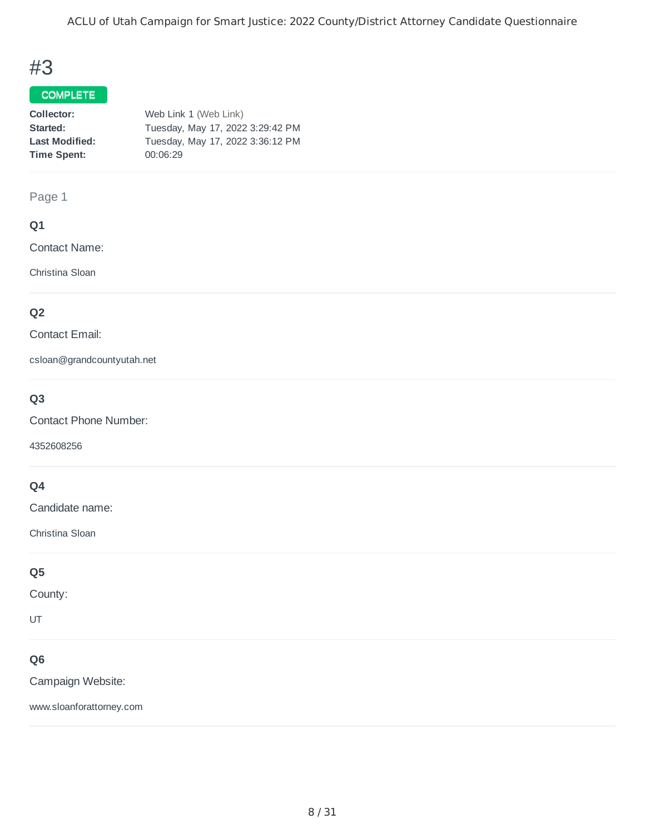## #3

#### COMPLETE

| Collector:            | Web Link 1 (Web Link)            |
|-----------------------|----------------------------------|
| Started:              | Tuesday, May 17, 2022 3:29:42 PM |
| <b>Last Modified:</b> | Tuesday, May 17, 2022 3:36:12 PM |
| <b>Time Spent:</b>    | 00:06:29                         |
|                       |                                  |

#### Page 1

#### **Q1**

Contact Name:

Christina Sloan

### **Q2**

Contact Email:

csloan@grandcountyutah.net

### **Q3**

Contact Phone Number:

4352608256

### **Q4**

Candidate name:

Christina Sloan

#### **Q5**

County:

UT

### **Q6**

Campaign Website:

www.sloanforattorney.com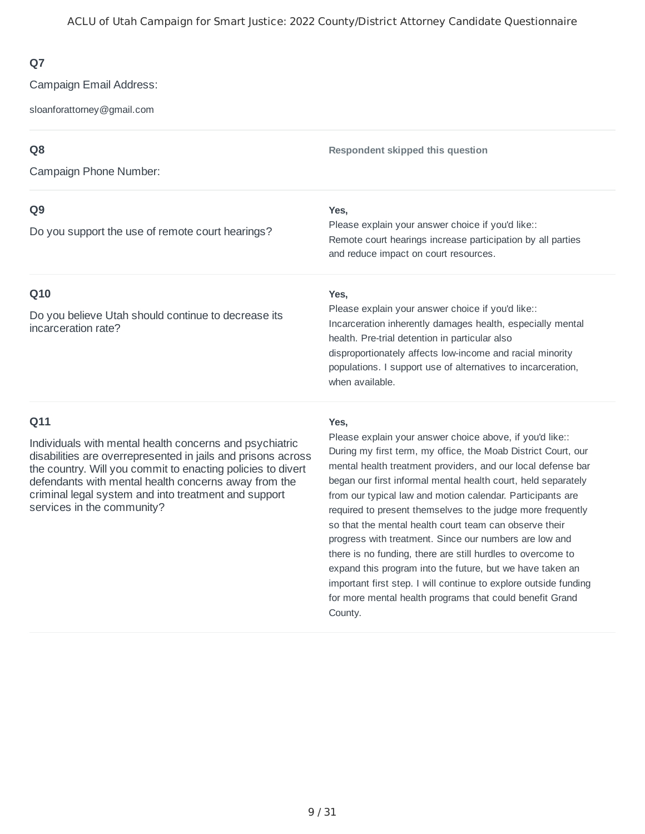Campaign Email Address:

sloanforattorney@gmail.com

### **Q8**

Campaign Phone Number:

#### **Q9**

Do you support the use of remote court hearings?

#### **Q10**

Do you believe Utah should continue to decrease its incarceration rate?

**Respondent skipped this question**

#### **Yes,**

Remote court hearings increase participation by all parties and reduce impact on court resources. Please explain your answer choice if you'd like::

#### **Yes,**

Incarceration inherently damages health, especially mental health. Pre-trial detention in particular also disproportionately affects low-income and racial minority populations. I support use of alternatives to incarceration, when available. Please explain your answer choice if you'd like::

#### **Q11**

Individuals with mental health concerns and psychiatric disabilities are overrepresented in jails and prisons across the country. Will you commit to enacting policies to divert defendants with mental health concerns away from the criminal legal system and into treatment and support services in the community?

#### **Yes,**

During my first term, my office, the Moab District Court, our mental health treatment providers, and our local defense bar began our first informal mental health court, held separately from our typical law and motion calendar. Participants are required to present themselves to the judge more frequently so that the mental health court team can observe their progress with treatment. Since our numbers are low and there is no funding, there are still hurdles to overcome to expand this program into the future, but we have taken an important first step. I will continue to explore outside funding for more mental health programs that could benefit Grand County. Please explain your answer choice above, if you'd like::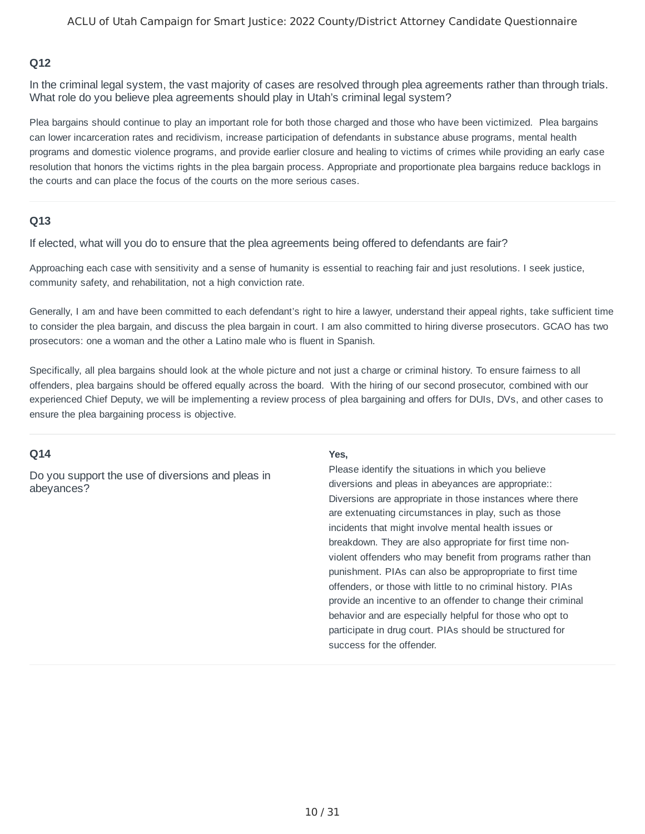In the criminal legal system, the vast majority of cases are resolved through plea agreements rather than through trials. What role do you believe plea agreements should play in Utah's criminal legal system?

Plea bargains should continue to play an important role for both those charged and those who have been victimized. Plea bargains can lower incarceration rates and recidivism, increase participation of defendants in substance abuse programs, mental health programs and domestic violence programs, and provide earlier closure and healing to victims of crimes while providing an early case resolution that honors the victims rights in the plea bargain process. Appropriate and proportionate plea bargains reduce backlogs in the courts and can place the focus of the courts on the more serious cases.

#### **Q13**

If elected, what will you do to ensure that the plea agreements being offered to defendants are fair?

Approaching each case with sensitivity and a sense of humanity is essential to reaching fair and just resolutions. I seek justice, community safety, and rehabilitation, not a high conviction rate.

Generally, I am and have been committed to each defendant's right to hire a lawyer, understand their appeal rights, take sufficient time to consider the plea bargain, and discuss the plea bargain in court. I am also committed to hiring diverse prosecutors. GCAO has two prosecutors: one a woman and the other a Latino male who is fluent in Spanish.

Specifically, all plea bargains should look at the whole picture and not just a charge or criminal history. To ensure fairness to all offenders, plea bargains should be offered equally across the board. With the hiring of our second prosecutor, combined with our experienced Chief Deputy, we will be implementing a review process of plea bargaining and offers for DUIs, DVs, and other cases to ensure the plea bargaining process is objective.

#### **Q14**

Do you support the use of diversions and pleas in abeyances?

#### **Yes,**

Diversions are appropriate in those instances where there are extenuating circumstances in play, such as those incidents that might involve mental health issues or breakdown. They are also appropriate for first time nonviolent offenders who may benefit from programs rather than punishment. PIAs can also be appropropriate to first time offenders, or those with little to no criminal history. PIAs provide an incentive to an offender to change their criminal behavior and are especially helpful for those who opt to participate in drug court. PIAs should be structured for success for the offender. Please identify the situations in which you believe diversions and pleas in abeyances are appropriate::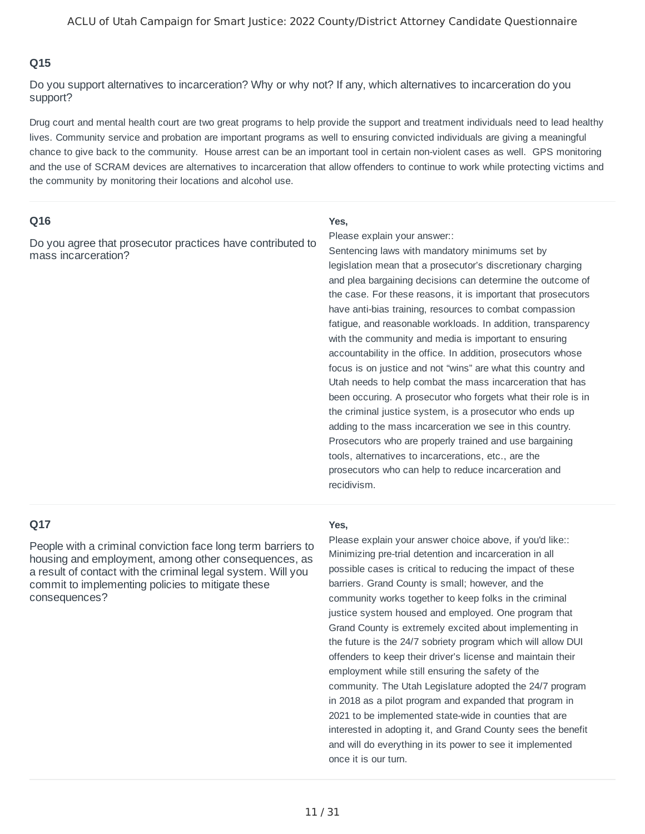Do you support alternatives to incarceration? Why or why not? If any, which alternatives to incarceration do you support?

Drug court and mental health court are two great programs to help provide the support and treatment individuals need to lead healthy lives. Community service and probation are important programs as well to ensuring convicted individuals are giving a meaningful chance to give back to the community. House arrest can be an important tool in certain non-violent cases as well. GPS monitoring and the use of SCRAM devices are alternatives to incarceration that allow offenders to continue to work while protecting victims and the community by monitoring their locations and alcohol use.

#### **Q16**

Do you agree that prosecutor practices have contributed to mass incarceration?

#### **Yes,**

Please explain your answer::

Sentencing laws with mandatory minimums set by legislation mean that a prosecutor's discretionary charging and plea bargaining decisions can determine the outcome of the case. For these reasons, it is important that prosecutors have anti-bias training, resources to combat compassion fatigue, and reasonable workloads. In addition, transparency with the community and media is important to ensuring accountability in the office. In addition, prosecutors whose focus is on justice and not "wins" are what this country and Utah needs to help combat the mass incarceration that has been occuring. A prosecutor who forgets what their role is in the criminal justice system, is a prosecutor who ends up adding to the mass incarceration we see in this country. Prosecutors who are properly trained and use bargaining tools, alternatives to incarcerations, etc., are the prosecutors who can help to reduce incarceration and recidivism.

#### **Q17**

People with a criminal conviction face long term barriers to housing and employment, among other consequences, as a result of contact with the criminal legal system. Will you commit to implementing policies to mitigate these consequences?

#### **Yes,**

Minimizing pre-trial detention and incarceration in all possible cases is critical to reducing the impact of these barriers. Grand County is small; however, and the community works together to keep folks in the criminal justice system housed and employed. One program that Grand County is extremely excited about implementing in the future is the 24/7 sobriety program which will allow DUI offenders to keep their driver's license and maintain their employment while still ensuring the safety of the community. The Utah Legislature adopted the 24/7 program in 2018 as a pilot program and expanded that program in 2021 to be implemented state-wide in counties that are interested in adopting it, and Grand County sees the benefit and will do everything in its power to see it implemented once it is our turn. Please explain your answer choice above, if you'd like::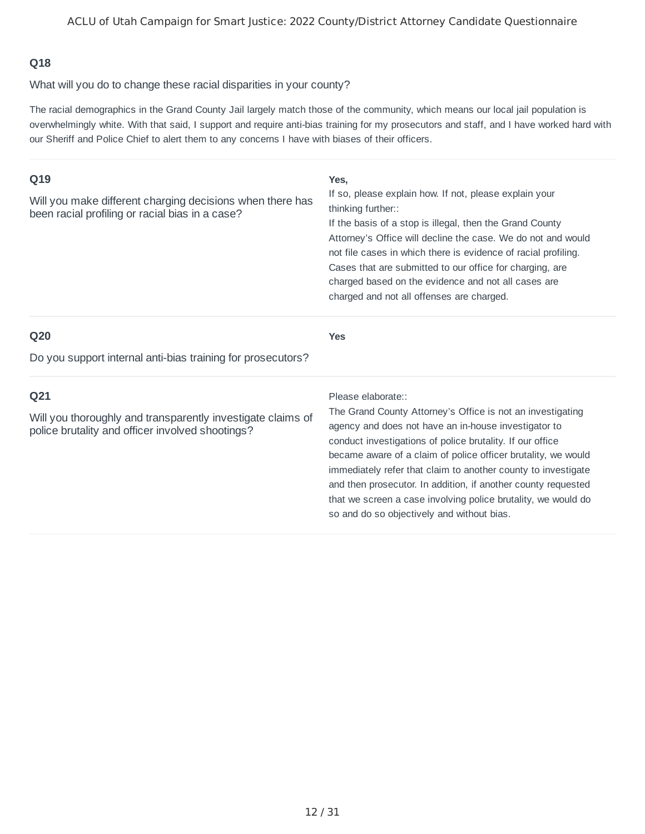What will you do to change these racial disparities in your county?

The racial demographics in the Grand County Jail largely match those of the community, which means our local jail population is overwhelmingly white. With that said, I support and require anti-bias training for my prosecutors and staff, and I have worked hard with our Sheriff and Police Chief to alert them to any concerns I have with biases of their officers.

| Q19<br>Will you make different charging decisions when there has<br>been racial profiling or racial bias in a case?                | Yes,<br>If so, please explain how. If not, please explain your<br>thinking further::<br>If the basis of a stop is illegal, then the Grand County<br>Attorney's Office will decline the case. We do not and would<br>not file cases in which there is evidence of racial profiling.<br>Cases that are submitted to our office for charging, are<br>charged based on the evidence and not all cases are<br>charged and not all offenses are charged. |
|------------------------------------------------------------------------------------------------------------------------------------|----------------------------------------------------------------------------------------------------------------------------------------------------------------------------------------------------------------------------------------------------------------------------------------------------------------------------------------------------------------------------------------------------------------------------------------------------|
| Q <sub>20</sub>                                                                                                                    | <b>Yes</b>                                                                                                                                                                                                                                                                                                                                                                                                                                         |
| Do you support internal anti-bias training for prosecutors?                                                                        |                                                                                                                                                                                                                                                                                                                                                                                                                                                    |
| Q <sub>21</sub><br>Will you thoroughly and transparently investigate claims of<br>police brutality and officer involved shootings? | Please elaborate::<br>The Grand County Attorney's Office is not an investigating<br>agency and does not have an in-house investigator to<br>conduct investigations of police brutality. If our office<br>became aware of a claim of police officer brutality, we would                                                                                                                                                                             |
|                                                                                                                                    | immediately refer that claim to another county to investigate<br>and then prosecutor. In addition, if another county requested<br>that we screen a case involving police brutality, we would do                                                                                                                                                                                                                                                    |

so and do so objectively and without bias.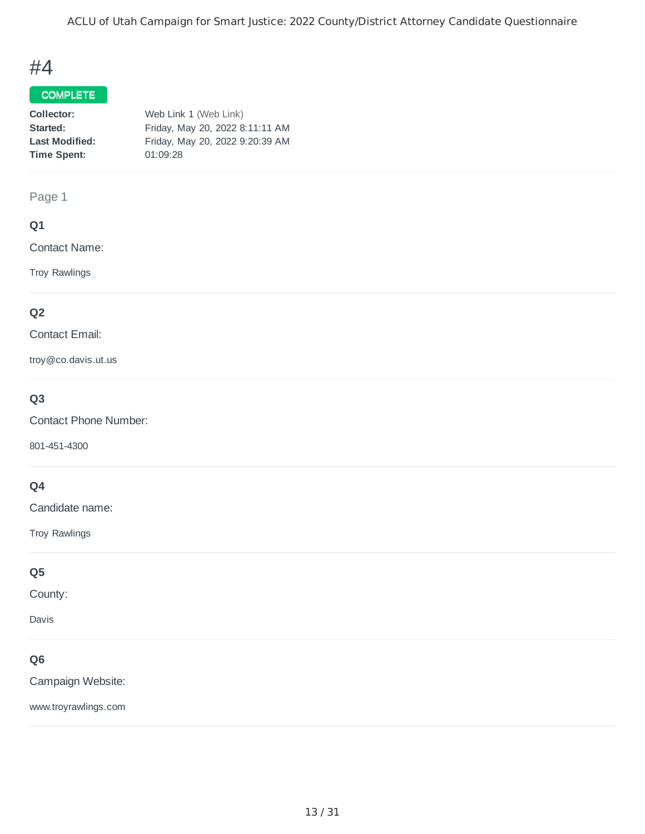## #4

#### COMPLETE

| Friday, May 20, 2022 8:11:11 AM |
|---------------------------------|
| Friday, May 20, 2022 9:20:39 AM |
|                                 |
|                                 |

#### Page 1

#### **Q1**

Contact Name:

Troy Rawlings

#### **Q2**

Contact Email:

troy@co.davis.ut.us

### **Q3**

Contact Phone Number:

801-451-4300

### **Q4**

Candidate name:

Troy Rawlings

### **Q5**

County:

Davis

### **Q6**

Campaign Website:

www.troyrawlings.com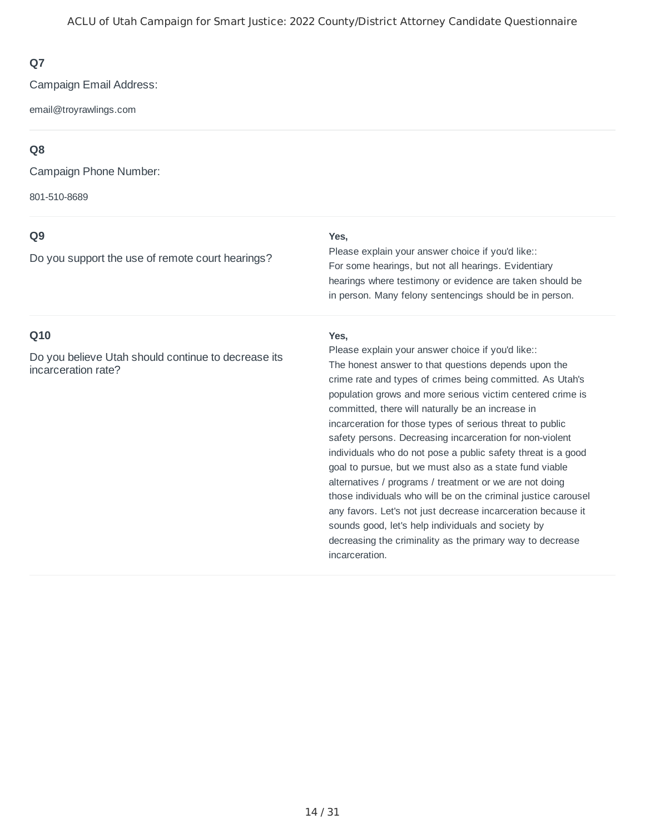Campaign Email Address:

email@troyrawlings.com

### **Q8**

Campaign Phone Number:

801-510-8689

### **Q9**

Do you support the use of remote court hearings?

#### **Yes,**

For some hearings, but not all hearings. Evidentiary hearings where testimony or evidence are taken should be in person. Many felony sentencings should be in person. Please explain your answer choice if you'd like::

#### **Q10**

Do you believe Utah should continue to decrease its incarceration rate?

#### **Yes,**

The honest answer to that questions depends upon the crime rate and types of crimes being committed. As Utah's population grows and more serious victim centered crime is committed, there will naturally be an increase in incarceration for those types of serious threat to public safety persons. Decreasing incarceration for non-violent individuals who do not pose a public safety threat is a good goal to pursue, but we must also as a state fund viable alternatives / programs / treatment or we are not doing those individuals who will be on the criminal justice carousel any favors. Let's not just decrease incarceration because it sounds good, let's help individuals and society by decreasing the criminality as the primary way to decrease incarceration. Please explain your answer choice if you'd like::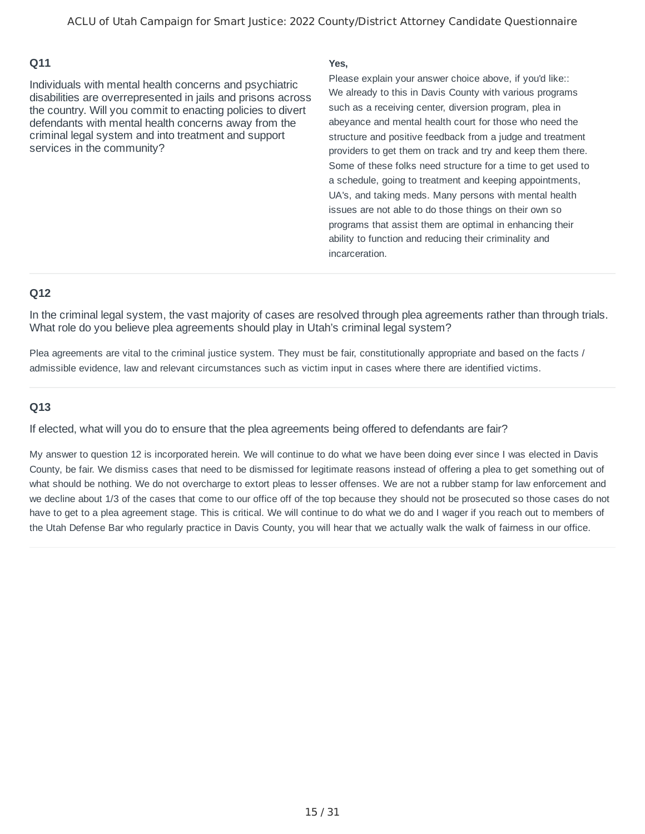Individuals with mental health concerns and psychiatric disabilities are overrepresented in jails and prisons across the country. Will you commit to enacting policies to divert defendants with mental health concerns away from the criminal legal system and into treatment and support services in the community?

#### **Yes,**

We already to this in Davis County with various programs such as a receiving center, diversion program, plea in abeyance and mental health court for those who need the structure and positive feedback from a judge and treatment providers to get them on track and try and keep them there. Some of these folks need structure for a time to get used to a schedule, going to treatment and keeping appointments, UA's, and taking meds. Many persons with mental health issues are not able to do those things on their own so programs that assist them are optimal in enhancing their ability to function and reducing their criminality and incarceration. Please explain your answer choice above, if you'd like::

#### **Q12**

In the criminal legal system, the vast majority of cases are resolved through plea agreements rather than through trials. What role do you believe plea agreements should play in Utah's criminal legal system?

Plea agreements are vital to the criminal justice system. They must be fair, constitutionally appropriate and based on the facts / admissible evidence, law and relevant circumstances such as victim input in cases where there are identified victims.

#### **Q13**

If elected, what will you do to ensure that the plea agreements being offered to defendants are fair?

My answer to question 12 is incorporated herein. We will continue to do what we have been doing ever since I was elected in Davis County, be fair. We dismiss cases that need to be dismissed for legitimate reasons instead of offering a plea to get something out of what should be nothing. We do not overcharge to extort pleas to lesser offenses. We are not a rubber stamp for law enforcement and we decline about 1/3 of the cases that come to our office off of the top because they should not be prosecuted so those cases do not have to get to a plea agreement stage. This is critical. We will continue to do what we do and I wager if you reach out to members of the Utah Defense Bar who regularly practice in Davis County, you will hear that we actually walk the walk of fairness in our office.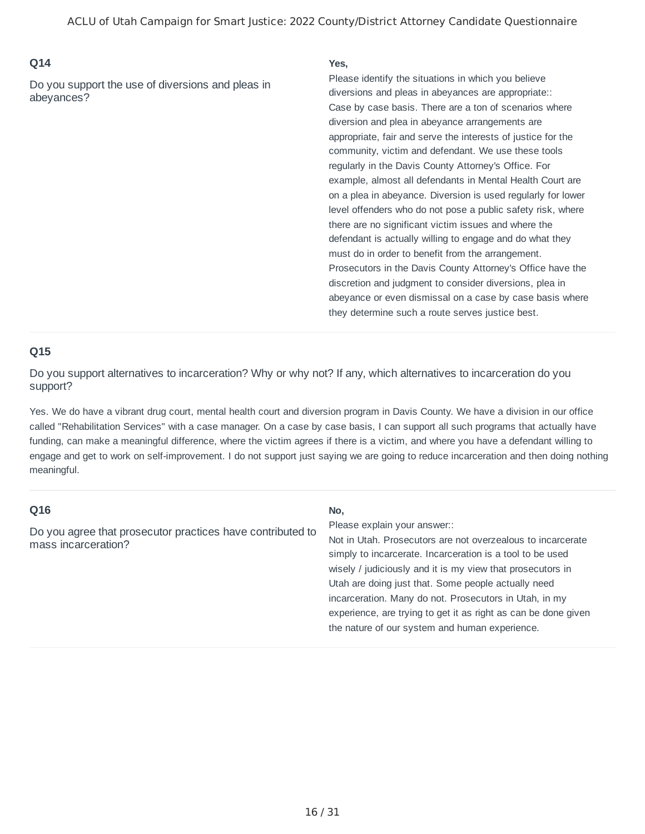Do you support the use of diversions and pleas in abeyances?

#### **Yes,**

Case by case basis. There are a ton of scenarios where diversion and plea in abeyance arrangements are appropriate, fair and serve the interests of justice for the community, victim and defendant. We use these tools regularly in the Davis County Attorney's Office. For example, almost all defendants in Mental Health Court are on a plea in abeyance. Diversion is used regularly for lower level offenders who do not pose a public safety risk, where there are no significant victim issues and where the defendant is actually willing to engage and do what they must do in order to benefit from the arrangement. Prosecutors in the Davis County Attorney's Office have the discretion and judgment to consider diversions, plea in abeyance or even dismissal on a case by case basis where they determine such a route serves justice best. Please identify the situations in which you believe diversions and pleas in abeyances are appropriate::

#### **Q15**

Do you support alternatives to incarceration? Why or why not? If any, which alternatives to incarceration do you support?

Yes. We do have a vibrant drug court, mental health court and diversion program in Davis County. We have a division in our office called "Rehabilitation Services" with a case manager. On a case by case basis, I can support all such programs that actually have funding, can make a meaningful difference, where the victim agrees if there is a victim, and where you have a defendant willing to engage and get to work on self-improvement. I do not support just saying we are going to reduce incarceration and then doing nothing meaningful.

#### **Q16**

Do you agree that prosecutor practices have contributed to mass incarceration?

#### **No,**

Please explain your answer::

Not in Utah. Prosecutors are not overzealous to incarcerate simply to incarcerate. Incarceration is a tool to be used wisely / judiciously and it is my view that prosecutors in Utah are doing just that. Some people actually need incarceration. Many do not. Prosecutors in Utah, in my experience, are trying to get it as right as can be done given the nature of our system and human experience.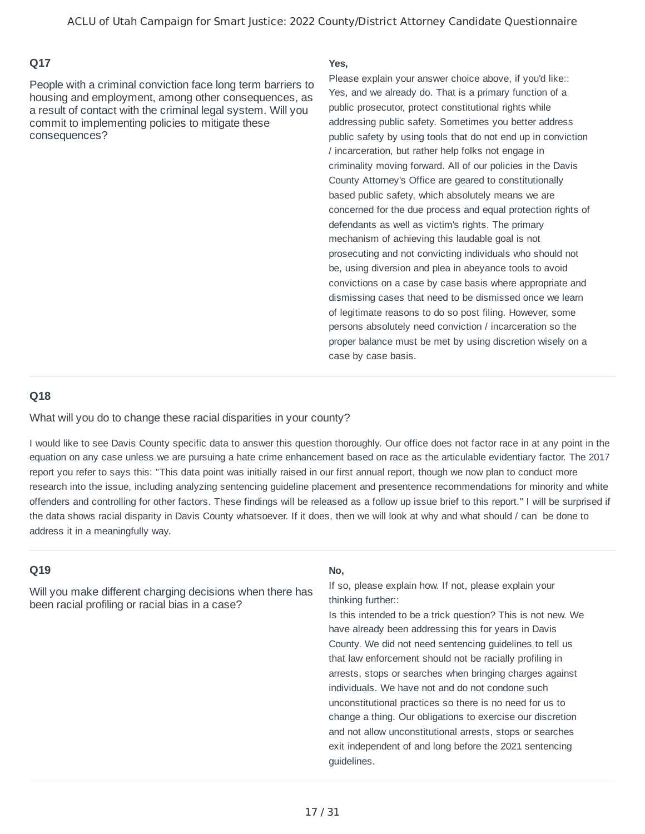People with a criminal conviction face long term barriers to housing and employment, among other consequences, as a result of contact with the criminal legal system. Will you commit to implementing policies to mitigate these consequences?

#### **Yes,**

Yes, and we already do. That is a primary function of a public prosecutor, protect constitutional rights while addressing public safety. Sometimes you better address public safety by using tools that do not end up in conviction / incarceration, but rather help folks not engage in criminality moving forward. All of our policies in the Davis County Attorney's Office are geared to constitutionally based public safety, which absolutely means we are concerned for the due process and equal protection rights of defendants as well as victim's rights. The primary mechanism of achieving this laudable goal is not prosecuting and not convicting individuals who should not be, using diversion and plea in abeyance tools to avoid convictions on a case by case basis where appropriate and dismissing cases that need to be dismissed once we learn of legitimate reasons to do so post filing. However, some persons absolutely need conviction / incarceration so the proper balance must be met by using discretion wisely on a case by case basis. Please explain your answer choice above, if you'd like::

#### **Q18**

What will you do to change these racial disparities in your county?

I would like to see Davis County specific data to answer this question thoroughly. Our office does not factor race in at any point in the equation on any case unless we are pursuing a hate crime enhancement based on race as the articulable evidentiary factor. The 2017 report you refer to says this: "This data point was initially raised in our first annual report, though we now plan to conduct more research into the issue, including analyzing sentencing guideline placement and presentence recommendations for minority and white offenders and controlling for other factors. These findings will be released as a follow up issue brief to this report." I will be surprised if the data shows racial disparity in Davis County whatsoever. If it does, then we will look at why and what should / can be done to address it in a meaningfully way.

#### **Q19**

Will you make different charging decisions when there has been racial profiling or racial bias in a case?

#### **No,**

If so, please explain how. If not, please explain your thinking further::

Is this intended to be a trick question? This is not new. We have already been addressing this for years in Davis County. We did not need sentencing guidelines to tell us that law enforcement should not be racially profiling in arrests, stops or searches when bringing charges against individuals. We have not and do not condone such unconstitutional practices so there is no need for us to change a thing. Our obligations to exercise our discretion and not allow unconstitutional arrests, stops or searches exit independent of and long before the 2021 sentencing guidelines.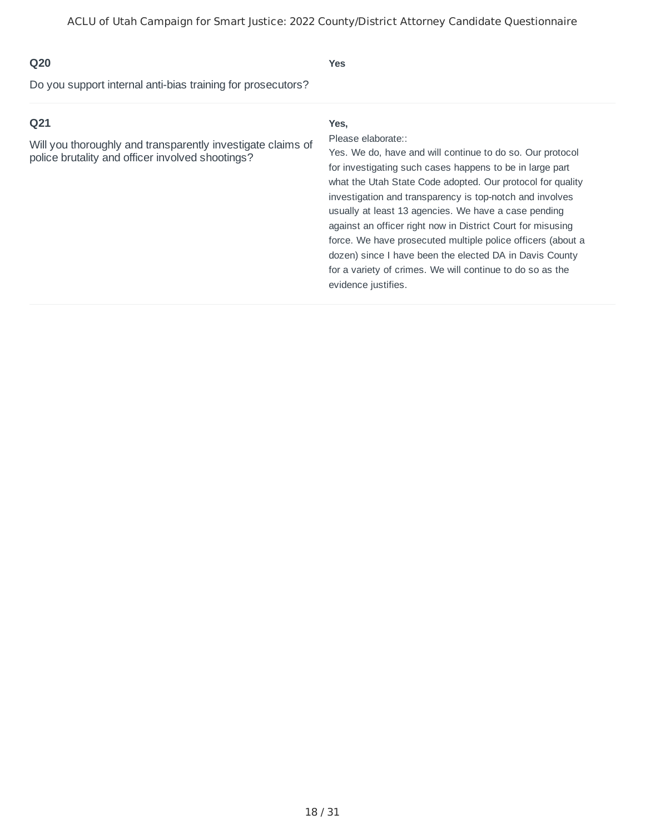**Yes**

Do you support internal anti-bias training for prosecutors?

#### **Q21**

Will you thoroughly and transparently investigate claims of police brutality and officer involved shootings?

#### **Yes,**

#### Please elaborate::

Yes. We do, have and will continue to do so. Our protocol for investigating such cases happens to be in large part what the Utah State Code adopted. Our protocol for quality investigation and transparency is top-notch and involves usually at least 13 agencies. We have a case pending against an officer right now in District Court for misusing force. We have prosecuted multiple police officers (about a dozen) since I have been the elected DA in Davis County for a variety of crimes. We will continue to do so as the evidence justifies.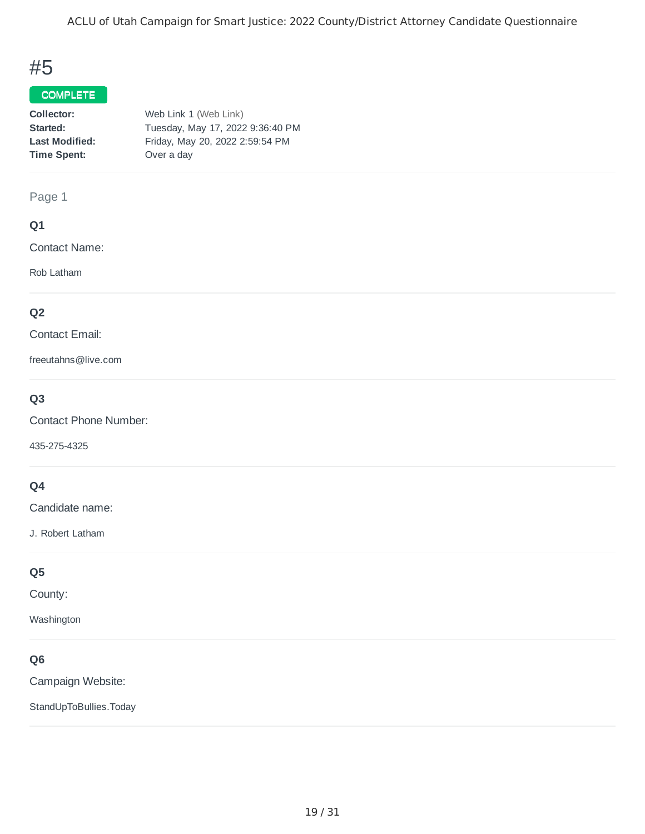## #5

#### COMPLETE

| Web Link 1 (Web Link)            |
|----------------------------------|
| Tuesday, May 17, 2022 9:36:40 PM |
| Friday, May 20, 2022 2:59:54 PM  |
| Over a day                       |
|                                  |

#### Page 1

#### **Q1**

Contact Name:

Rob Latham

#### **Q2**

Contact Email:

freeutahns@live.com

### **Q3**

Contact Phone Number:

435-275-4325

### **Q4**

Candidate name:

J. Robert Latham

#### **Q5**

County:

Washington

### **Q6**

Campaign Website:

StandUpToBullies.Today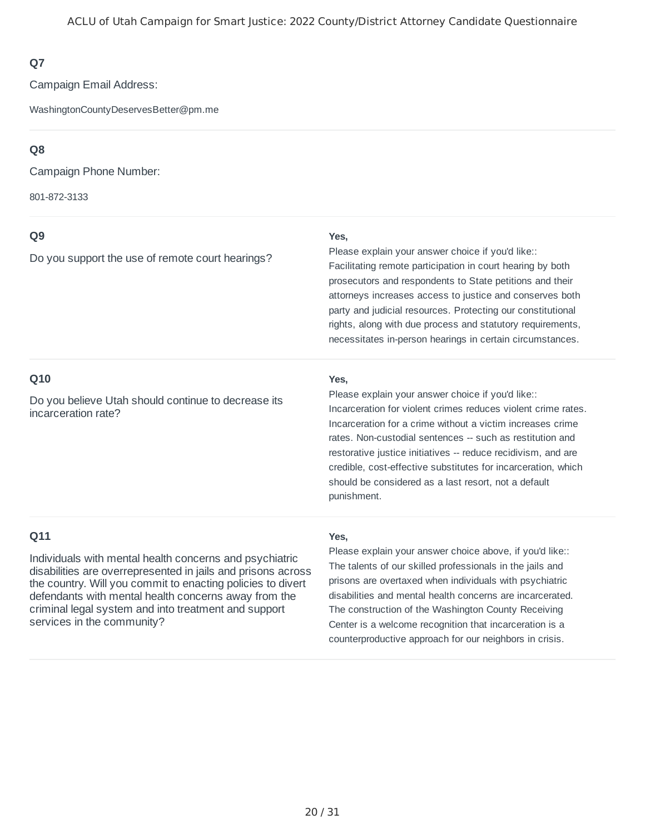Campaign Email Address:

WashingtonCountyDeservesBetter@pm.me

### **Q8**

Campaign Phone Number:

801-872-3133

### **Q9**

Do you support the use of remote court hearings?

#### **Yes,**

Facilitating remote participation in court hearing by both prosecutors and respondents to State petitions and their attorneys increases access to justice and conserves both party and judicial resources. Protecting our constitutional rights, along with due process and statutory requirements, necessitates in-person hearings in certain circumstances. Please explain your answer choice if you'd like::

#### **Q10**

Do you believe Utah should continue to decrease its incarceration rate?

#### **Yes,**

Incarceration for violent crimes reduces violent crime rates. Incarceration for a crime without a victim increases crime rates. Non-custodial sentences -- such as restitution and restorative justice initiatives -- reduce recidivism, and are credible, cost-effective substitutes for incarceration, which should be considered as a last resort, not a default punishment. Please explain your answer choice if you'd like::

### **Q11**

Individuals with mental health concerns and psychiatric disabilities are overrepresented in jails and prisons across the country. Will you commit to enacting policies to divert defendants with mental health concerns away from the criminal legal system and into treatment and support services in the community?

#### **Yes,**

The talents of our skilled professionals in the jails and prisons are overtaxed when individuals with psychiatric disabilities and mental health concerns are incarcerated. The construction of the Washington County Receiving Center is a welcome recognition that incarceration is a counterproductive approach for our neighbors in crisis. Please explain your answer choice above, if you'd like::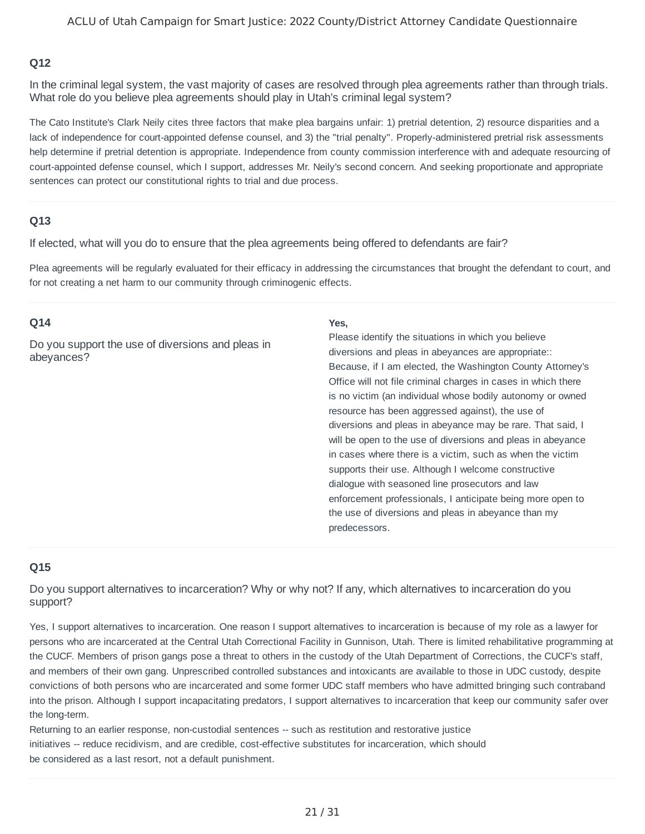In the criminal legal system, the vast majority of cases are resolved through plea agreements rather than through trials. What role do you believe plea agreements should play in Utah's criminal legal system?

The Cato Institute's Clark Neily cites three factors that make plea bargains unfair: 1) pretrial detention, 2) resource disparities and a lack of independence for court-appointed defense counsel, and 3) the "trial penalty". Properly-administered pretrial risk assessments help determine if pretrial detention is appropriate. Independence from county commission interference with and adequate resourcing of court-appointed defense counsel, which I support, addresses Mr. Neily's second concern. And seeking proportionate and appropriate sentences can protect our constitutional rights to trial and due process.

#### **Q13**

If elected, what will you do to ensure that the plea agreements being offered to defendants are fair?

Plea agreements will be regularly evaluated for their efficacy in addressing the circumstances that brought the defendant to court, and for not creating a net harm to our community through criminogenic effects.

#### **Q14**

Do you support the use of diversions and pleas in abeyances?

#### **Yes,**

Because, if I am elected, the Washington County Attorney's Office will not file criminal charges in cases in which there is no victim (an individual whose bodily autonomy or owned resource has been aggressed against), the use of diversions and pleas in abeyance may be rare. That said, I will be open to the use of diversions and pleas in abeyance in cases where there is a victim, such as when the victim supports their use. Although I welcome constructive dialogue with seasoned line prosecutors and law enforcement professionals, I anticipate being more open to the use of diversions and pleas in abeyance than my predecessors. Please identify the situations in which you believe diversions and pleas in abeyances are appropriate::

#### **Q15**

Do you support alternatives to incarceration? Why or why not? If any, which alternatives to incarceration do you support?

Yes, I support alternatives to incarceration. One reason I support alternatives to incarceration is because of my role as a lawyer for persons who are incarcerated at the Central Utah Correctional Facility in Gunnison, Utah. There is limited rehabilitative programming at the CUCF. Members of prison gangs pose a threat to others in the custody of the Utah Department of Corrections, the CUCF's staff, and members of their own gang. Unprescribed controlled substances and intoxicants are available to those in UDC custody, despite convictions of both persons who are incarcerated and some former UDC staff members who have admitted bringing such contraband into the prison. Although I support incapacitating predators, I support alternatives to incarceration that keep our community safer over the long-term.

Returning to an earlier response, non-custodial sentences -- such as restitution and restorative justice initiatives -- reduce recidivism, and are credible, cost-effective substitutes for incarceration, which should be considered as a last resort, not a default punishment.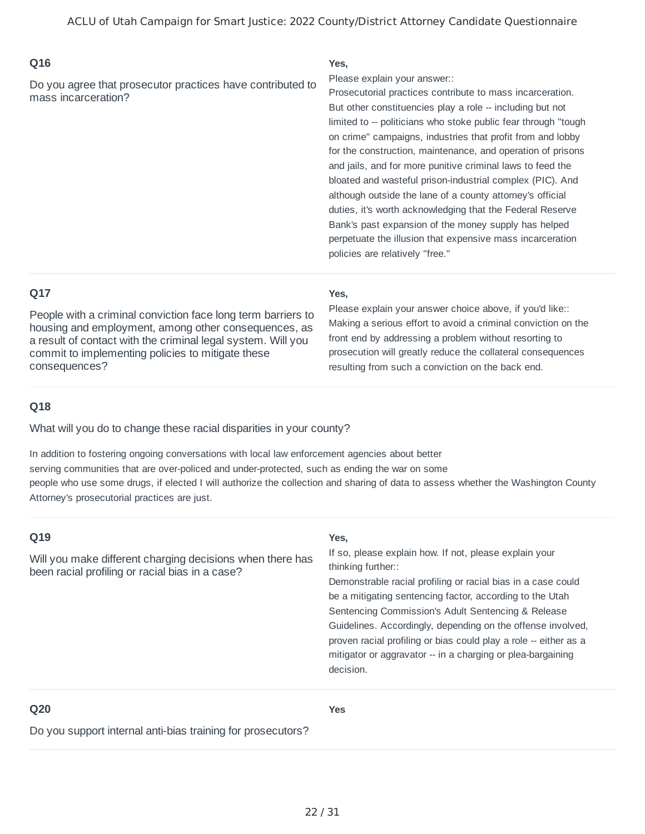Do you agree that prosecutor practices have contributed to mass incarceration?

#### **Yes,**

Please explain your answer::

Prosecutorial practices contribute to mass incarceration. But other constituencies play a role -- including but not limited to -- politicians who stoke public fear through "tough on crime" campaigns, industries that profit from and lobby for the construction, maintenance, and operation of prisons and jails, and for more punitive criminal laws to feed the bloated and wasteful prison-industrial complex (PIC). And although outside the lane of a county attorney's official duties, it's worth acknowledging that the Federal Reserve Bank's past expansion of the money supply has helped perpetuate the illusion that expensive mass incarceration policies are relatively "free."

### **Q17**

People with a criminal conviction face long term barriers to housing and employment, among other consequences, as a result of contact with the criminal legal system. Will you commit to implementing policies to mitigate these consequences?

#### **Yes,**

Making a serious effort to avoid a criminal conviction on the front end by addressing a problem without resorting to prosecution will greatly reduce the collateral consequences resulting from such a conviction on the back end. Please explain your answer choice above, if you'd like::

#### **Q18**

What will you do to change these racial disparities in your county?

In addition to fostering ongoing conversations with local law enforcement agencies about better serving communities that are over-policed and under-protected, such as ending the war on some people who use some drugs, if elected I will authorize the collection and sharing of data to assess whether the Washington County Attorney's prosecutorial practices are just.

| Q19                                                                                                          | Yes,                                                                                                                                                                                                                                                                                                                                                                                                                                                                          |
|--------------------------------------------------------------------------------------------------------------|-------------------------------------------------------------------------------------------------------------------------------------------------------------------------------------------------------------------------------------------------------------------------------------------------------------------------------------------------------------------------------------------------------------------------------------------------------------------------------|
| Will you make different charging decisions when there has<br>been racial profiling or racial bias in a case? | If so, please explain how. If not, please explain your<br>thinking further::<br>Demonstrable racial profiling or racial bias in a case could<br>be a mitigating sentencing factor, according to the Utah<br>Sentencing Commission's Adult Sentencing & Release<br>Guidelines. Accordingly, depending on the offense involved,<br>proven racial profiling or bias could play a role -- either as a<br>mitigator or aggravator -- in a charging or plea-bargaining<br>decision. |
|                                                                                                              |                                                                                                                                                                                                                                                                                                                                                                                                                                                                               |

#### **Q20**

**Yes**

Do you support internal anti-bias training for prosecutors?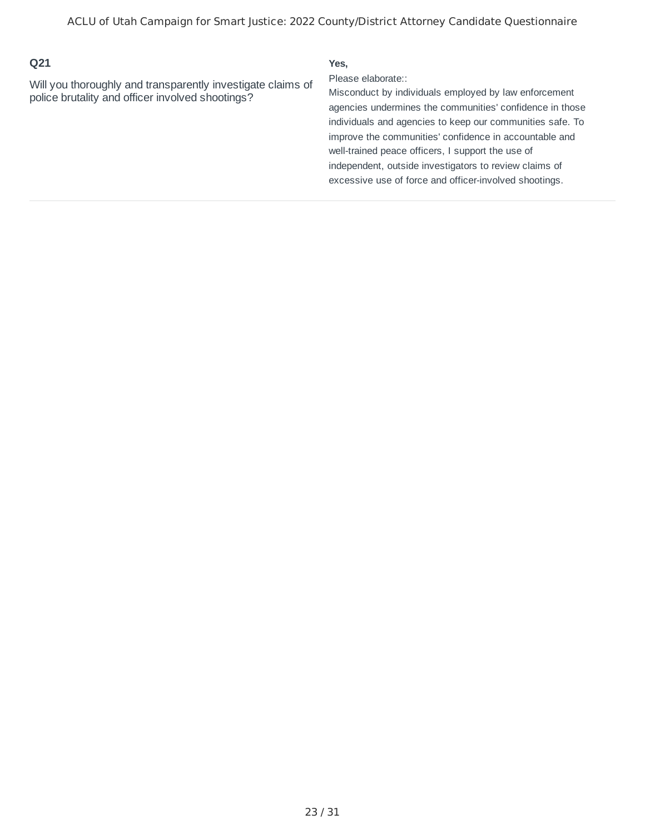Will you thoroughly and transparently investigate claims of police brutality and officer involved shootings?

#### **Yes,**

Please elaborate::

Misconduct by individuals employed by law enforcement agencies undermines the communities' confidence in those individuals and agencies to keep our communities safe. To improve the communities' confidence in accountable and well-trained peace officers, I support the use of independent, outside investigators to review claims of excessive use of force and officer-involved shootings.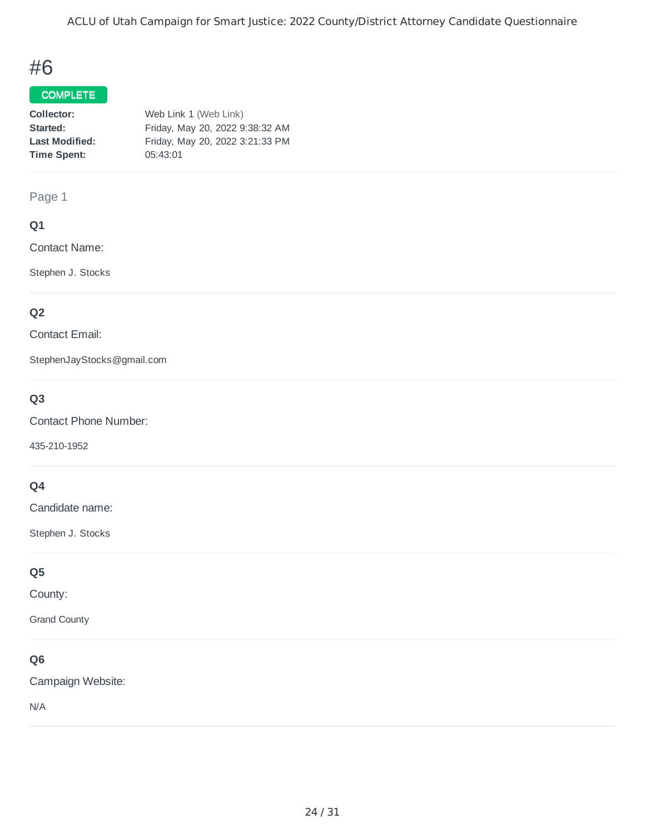## #6

#### COMPLETE

| Web Link 1 (Web Link)           |  |
|---------------------------------|--|
| Friday, May 20, 2022 9:38:32 AM |  |
| Friday, May 20, 2022 3:21:33 PM |  |
| 05:43:01                        |  |
|                                 |  |

#### Page 1

#### **Q1**

Contact Name:

Stephen J. Stocks

### **Q2**

Contact Email:

StephenJayStocks@gmail.com

### **Q3**

Contact Phone Number:

435-210-1952

### **Q4**

Candidate name:

Stephen J. Stocks

### **Q5**

County:

Grand County

### **Q6**

Campaign Website:

N/A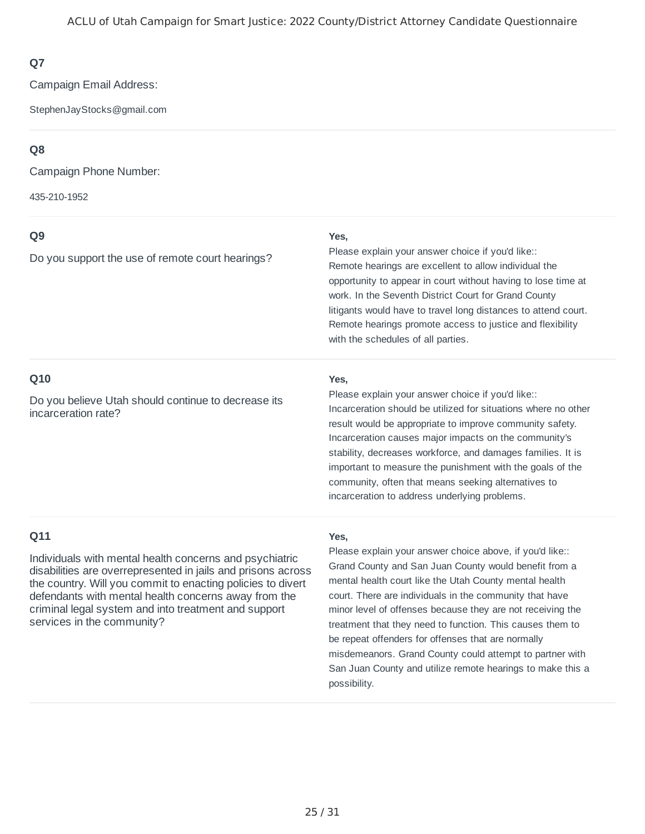Campaign Email Address:

StephenJayStocks@gmail.com

### **Q8**

Campaign Phone Number:

435-210-1952

### **Q9**

Do you support the use of remote court hearings?

#### **Yes,**

Remote hearings are excellent to allow individual the opportunity to appear in court without having to lose time at work. In the Seventh District Court for Grand County litigants would have to travel long distances to attend court. Remote hearings promote access to justice and flexibility with the schedules of all parties. Please explain your answer choice if you'd like::

#### **Q10**

Do you believe Utah should continue to decrease its incarceration rate?

#### **Yes,**

Incarceration should be utilized for situations where no other result would be appropriate to improve community safety. Incarceration causes major impacts on the community's stability, decreases workforce, and damages families. It is important to measure the punishment with the goals of the community, often that means seeking alternatives to incarceration to address underlying problems. Please explain your answer choice if you'd like::

### **Q11**

Individuals with mental health concerns and psychiatric disabilities are overrepresented in jails and prisons across the country. Will you commit to enacting policies to divert defendants with mental health concerns away from the criminal legal system and into treatment and support services in the community?

#### **Yes,**

Grand County and San Juan County would benefit from a mental health court like the Utah County mental health court. There are individuals in the community that have minor level of offenses because they are not receiving the treatment that they need to function. This causes them to be repeat offenders for offenses that are normally misdemeanors. Grand County could attempt to partner with San Juan County and utilize remote hearings to make this a possibility. Please explain your answer choice above, if you'd like::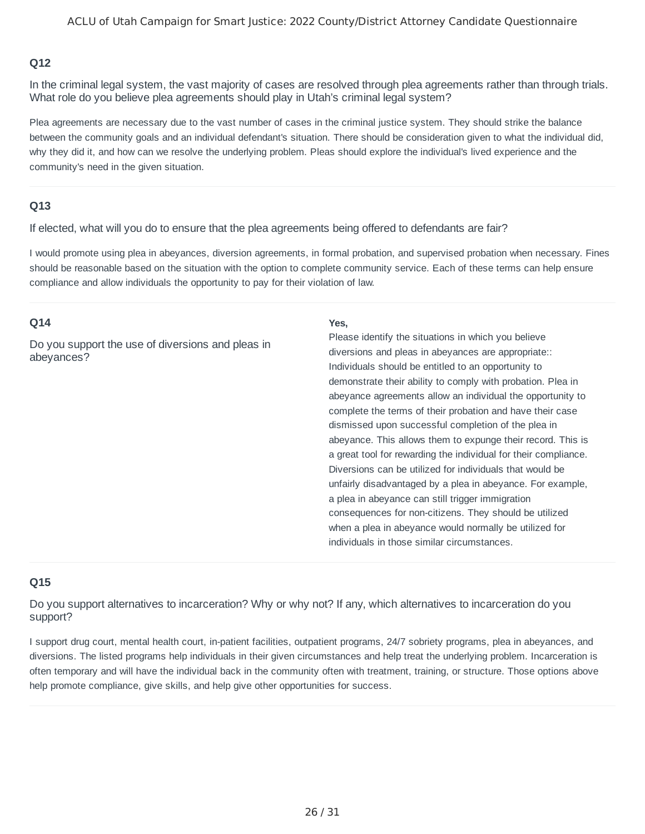In the criminal legal system, the vast majority of cases are resolved through plea agreements rather than through trials. What role do you believe plea agreements should play in Utah's criminal legal system?

Plea agreements are necessary due to the vast number of cases in the criminal justice system. They should strike the balance between the community goals and an individual defendant's situation. There should be consideration given to what the individual did, why they did it, and how can we resolve the underlying problem. Pleas should explore the individual's lived experience and the community's need in the given situation.

#### **Q13**

If elected, what will you do to ensure that the plea agreements being offered to defendants are fair?

I would promote using plea in abeyances, diversion agreements, in formal probation, and supervised probation when necessary. Fines should be reasonable based on the situation with the option to complete community service. Each of these terms can help ensure compliance and allow individuals the opportunity to pay for their violation of law.

#### **Q14**

Do you support the use of diversions and pleas in abeyances?

#### **Yes,**

Individuals should be entitled to an opportunity to demonstrate their ability to comply with probation. Plea in abeyance agreements allow an individual the opportunity to complete the terms of their probation and have their case dismissed upon successful completion of the plea in abeyance. This allows them to expunge their record. This is a great tool for rewarding the individual for their compliance. Diversions can be utilized for individuals that would be unfairly disadvantaged by a plea in abeyance. For example, a plea in abeyance can still trigger immigration consequences for non-citizens. They should be utilized when a plea in abeyance would normally be utilized for individuals in those similar circumstances. Please identify the situations in which you believe diversions and pleas in abeyances are appropriate::

#### **Q15**

Do you support alternatives to incarceration? Why or why not? If any, which alternatives to incarceration do you support?

I support drug court, mental health court, in-patient facilities, outpatient programs, 24/7 sobriety programs, plea in abeyances, and diversions. The listed programs help individuals in their given circumstances and help treat the underlying problem. Incarceration is often temporary and will have the individual back in the community often with treatment, training, or structure. Those options above help promote compliance, give skills, and help give other opportunities for success.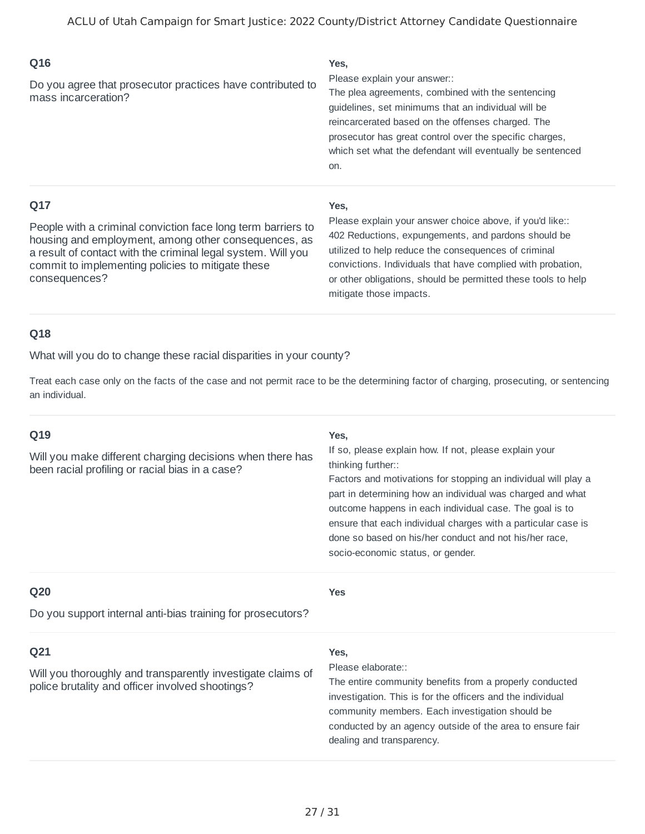| Q16                                                                               | Yes,                                                                                                                                                                                                                                                                                                                         |
|-----------------------------------------------------------------------------------|------------------------------------------------------------------------------------------------------------------------------------------------------------------------------------------------------------------------------------------------------------------------------------------------------------------------------|
| Do you agree that prosecutor practices have contributed to<br>mass incarceration? | Please explain your answer::<br>The plea agreements, combined with the sentencing<br>guidelines, set minimums that an individual will be<br>reincarcerated based on the offenses charged. The<br>prosecutor has great control over the specific charges.<br>which set what the defendant will eventually be sentenced<br>on. |
|                                                                                   |                                                                                                                                                                                                                                                                                                                              |

People with a criminal conviction face long term barriers to housing and employment, among other consequences, as a result of contact with the criminal legal system. Will you commit to implementing policies to mitigate these consequences?

#### **Yes,**

402 Reductions, expungements, and pardons should be utilized to help reduce the consequences of criminal convictions. Individuals that have complied with probation, or other obligations, should be permitted these tools to help mitigate those impacts. Please explain your answer choice above, if you'd like::

#### **Q18**

What will you do to change these racial disparities in your county?

Treat each case only on the facts of the case and not permit race to be the determining factor of charging, prosecuting, or sentencing an individual.

#### **Q19**

Will you make different charging decisions when there has been racial profiling or racial bias in a case?

#### **Yes,**

If so, please explain how. If not, please explain your thinking further::

Factors and motivations for stopping an individual will play a part in determining how an individual was charged and what outcome happens in each individual case. The goal is to ensure that each individual charges with a particular case is done so based on his/her conduct and not his/her race, socio-economic status, or gender.

#### **Q20**

**Yes**

Do you support internal anti-bias training for prosecutors?

#### **Q21**

Will you thoroughly and transparently investigate claims of police brutality and officer involved shootings?

#### **Yes,**

Please elaborate::

The entire community benefits from a properly conducted investigation. This is for the officers and the individual community members. Each investigation should be conducted by an agency outside of the area to ensure fair dealing and transparency.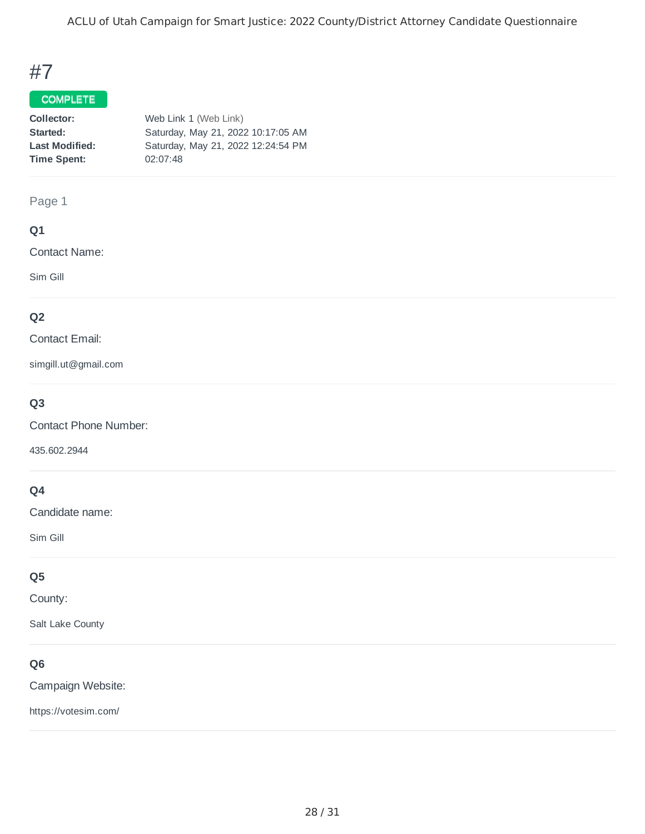ACLU of Utah Campaign for Smart Justice: 2022 County/District Attorney Candidate Questionnaire

# #7

### COMPLETE

| Collector:            | Web Link 1 (Web Link)              |
|-----------------------|------------------------------------|
| Started:              | Saturday, May 21, 2022 10:17:05 AM |
| <b>Last Modified:</b> | Saturday, May 21, 2022 12:24:54 PM |
| <b>Time Spent:</b>    | 02:07:48                           |

#### Page 1

### **Q1**

Contact Name:

Sim Gill

### **Q2**

Contact Email:

simgill.ut@gmail.com

### **Q3**

Contact Phone Number:

435.602.2944

### **Q4**

Candidate name:

Sim Gill

### **Q5**

County:

Salt Lake County

### **Q6**

Campaign Website:

https://votesim.com/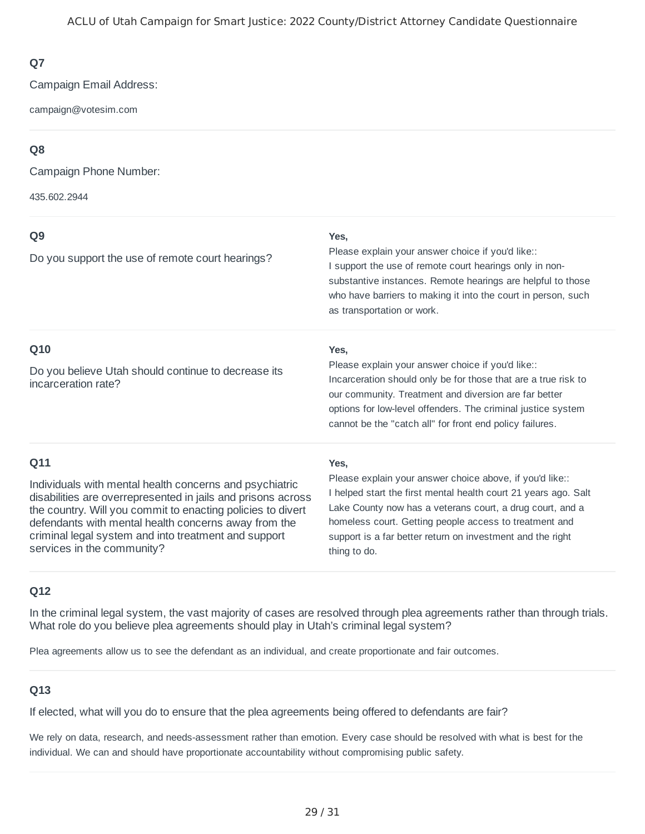Campaign Email Address:

campaign@votesim.com

### **Q8**

Campaign Phone Number:

435.602.2944

| Q <sub>9</sub>                                                                                                                                                                                                                                                                                                                       | Yes,                                                                                                                                                                                                                                                                                                                             |  |
|--------------------------------------------------------------------------------------------------------------------------------------------------------------------------------------------------------------------------------------------------------------------------------------------------------------------------------------|----------------------------------------------------------------------------------------------------------------------------------------------------------------------------------------------------------------------------------------------------------------------------------------------------------------------------------|--|
| Do you support the use of remote court hearings?                                                                                                                                                                                                                                                                                     | Please explain your answer choice if you'd like::<br>I support the use of remote court hearings only in non-<br>substantive instances. Remote hearings are helpful to those<br>who have barriers to making it into the court in person, such<br>as transportation or work.                                                       |  |
| Q10                                                                                                                                                                                                                                                                                                                                  | Yes,                                                                                                                                                                                                                                                                                                                             |  |
| Do you believe Utah should continue to decrease its<br>incarceration rate?                                                                                                                                                                                                                                                           | Please explain your answer choice if you'd like::<br>Incarceration should only be for those that are a true risk to<br>our community. Treatment and diversion are far better<br>options for low-level offenders. The criminal justice system<br>cannot be the "catch all" for front end policy failures.                         |  |
| Q11                                                                                                                                                                                                                                                                                                                                  | Yes,                                                                                                                                                                                                                                                                                                                             |  |
| Individuals with mental health concerns and psychiatric<br>disabilities are overrepresented in jails and prisons across<br>the country. Will you commit to enacting policies to divert<br>defendants with mental health concerns away from the<br>criminal legal system and into treatment and support<br>services in the community? | Please explain your answer choice above, if you'd like::<br>I helped start the first mental health court 21 years ago. Salt<br>Lake County now has a veterans court, a drug court, and a<br>homeless court. Getting people access to treatment and<br>support is a far better return on investment and the right<br>thing to do. |  |

#### **Q12**

In the criminal legal system, the vast majority of cases are resolved through plea agreements rather than through trials. What role do you believe plea agreements should play in Utah's criminal legal system?

Plea agreements allow us to see the defendant as an individual, and create proportionate and fair outcomes.

#### **Q13**

If elected, what will you do to ensure that the plea agreements being offered to defendants are fair?

We rely on data, research, and needs-assessment rather than emotion. Every case should be resolved with what is best for the individual. We can and should have proportionate accountability without compromising public safety.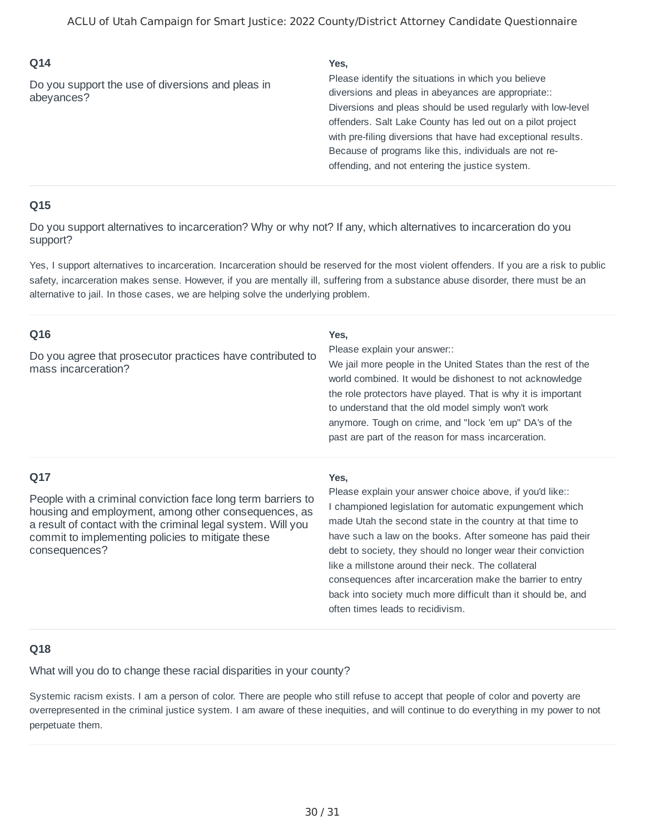Do you support the use of diversions and pleas in abeyances?

#### **Yes,**

Diversions and pleas should be used regularly with low-level offenders. Salt Lake County has led out on a pilot project with pre-filing diversions that have had exceptional results. Because of programs like this, individuals are not reoffending, and not entering the justice system. Please identify the situations in which you believe diversions and pleas in abeyances are appropriate::

#### **Q15**

Do you support alternatives to incarceration? Why or why not? If any, which alternatives to incarceration do you support?

Yes, I support alternatives to incarceration. Incarceration should be reserved for the most violent offenders. If you are a risk to public safety, incarceration makes sense. However, if you are mentally ill, suffering from a substance abuse disorder, there must be an alternative to jail. In those cases, we are helping solve the underlying problem.

| Q16<br>Do you agree that prosecutor practices have contributed to<br>mass incarceration?                                                                                                                                                                          | Yes,<br>Please explain your answer::<br>We jail more people in the United States than the rest of the<br>world combined. It would be dishonest to not acknowledge<br>the role protectors have played. That is why it is important<br>to understand that the old model simply won't work<br>anymore. Tough on crime, and "lock 'em up" DA's of the<br>past are part of the reason for mass incarceration.                                                                                                                                        |
|-------------------------------------------------------------------------------------------------------------------------------------------------------------------------------------------------------------------------------------------------------------------|-------------------------------------------------------------------------------------------------------------------------------------------------------------------------------------------------------------------------------------------------------------------------------------------------------------------------------------------------------------------------------------------------------------------------------------------------------------------------------------------------------------------------------------------------|
| Q17<br>People with a criminal conviction face long term barriers to<br>housing and employment, among other consequences, as<br>a result of contact with the criminal legal system. Will you<br>commit to implementing policies to mitigate these<br>consequences? | Yes,<br>Please explain your answer choice above, if you'd like::<br>I championed legislation for automatic expungement which<br>made Utah the second state in the country at that time to<br>have such a law on the books. After someone has paid their<br>debt to society, they should no longer wear their conviction<br>like a millstone around their neck. The collateral<br>consequences after incarceration make the barrier to entry<br>back into society much more difficult than it should be, and<br>often times leads to recidivism. |

#### **Q18**

What will you do to change these racial disparities in your county?

Systemic racism exists. I am a person of color. There are people who still refuse to accept that people of color and poverty are overrepresented in the criminal justice system. I am aware of these inequities, and will continue to do everything in my power to not perpetuate them.